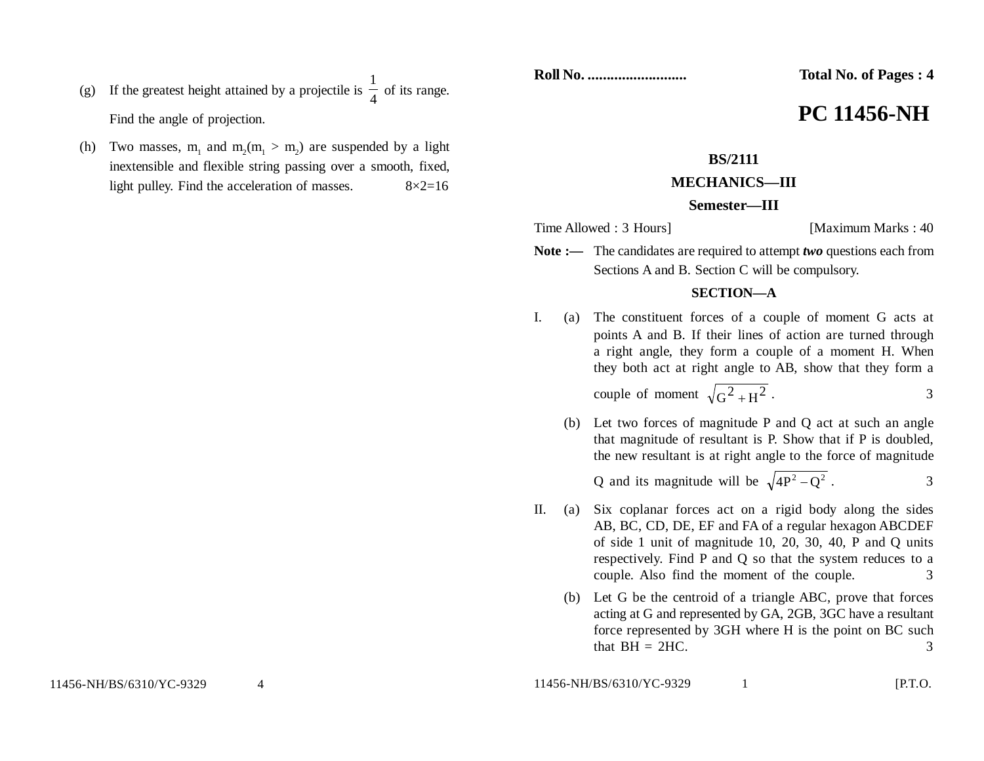- (g) If the greatest height attained by a projectile is  $\frac{1}{4}$ 1 of its range. Find the angle of projection.
- (h) Two masses,  $m_1$  and  $m_2(m_1 > m_2)$  are suspended by a light inextensible and flexible string passing over a smooth, fixed, light pulley. Find the acceleration of masses.  $8 \times 2 = 16$

**Roll No. .......................... Total No. of Pages : 4**

# **PC 11456-NH**

# **BS/2111**

## **MECHANICS—III**

### **Semester—III**

Time Allowed : 3 Hours] [Maximum Marks : 40]

Note :— The candidates are required to attempt *two* questions each from Sections A and B. Section C will be compulsory.

#### **SECTION—A**

I. (a) The constituent forces of a couple of moment G acts at points A and B. If their lines of action are turned through a right angle, they form a couple of a moment H. When they both act at right angle to AB, show that they form a

couple of moment  $\sqrt{G^2 + H^2}$ . 3

(b) Let two forces of magnitude P and Q act at such an angle that magnitude of resultant is P. Show that if P is doubled, the new resultant is at right angle to the force of magnitude

Q and its magnitude will be  $\sqrt{4P^2 - Q^2}$ . 3

- II. (a) Six coplanar forces act on a rigid body along the sides AB, BC, CD, DE, EF and FA of a regular hexagon ABCDEF of side 1 unit of magnitude 10, 20, 30, 40, P and Q units respectively. Find P and Q so that the system reduces to a couple. Also find the moment of the couple. 3
	- (b) Let G be the centroid of a triangle ABC, prove that forces acting at G and represented by GA, 2GB, 3GC have a resultant force represented by 3GH where H is the point on BC such that  $BH = 2HC$ . 3

11456-NH/BS/6310/YC-9329 4

11456-NH/BS/6310/YC-9329 1 [P.T.O.